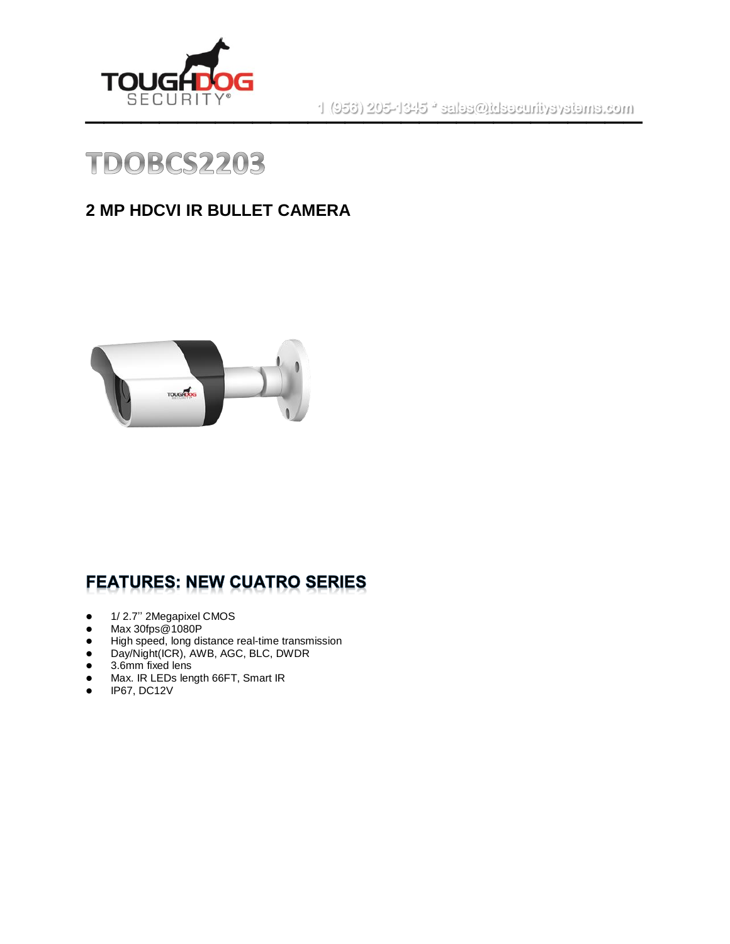

 $\mathsf{SEC} \mathsf{U}\mathsf{RITY}^{\bullet}$  . The set of the set of the set of the set of the set of the set of the set of the set of the set of the set of the set of the set of the set of the set of the set of the set of the set of the s



#### **2 MP HDCVI IR BULLET CAMERA**



#### **FEATURES: NEW CUATRO SERIES**

- ⚫ 1/ 2.7'' 2Megapixel CMOS
- ⚫ Max 30fps@1080P
- ⚫ High speed, long distance real-time transmission
- Day/Night(ICR), AWB, AGC, BLC, DWDR
- 3.6mm fixed lens
- Max. IR LEDs length 66FT, Smart IR
- IP67, DC12V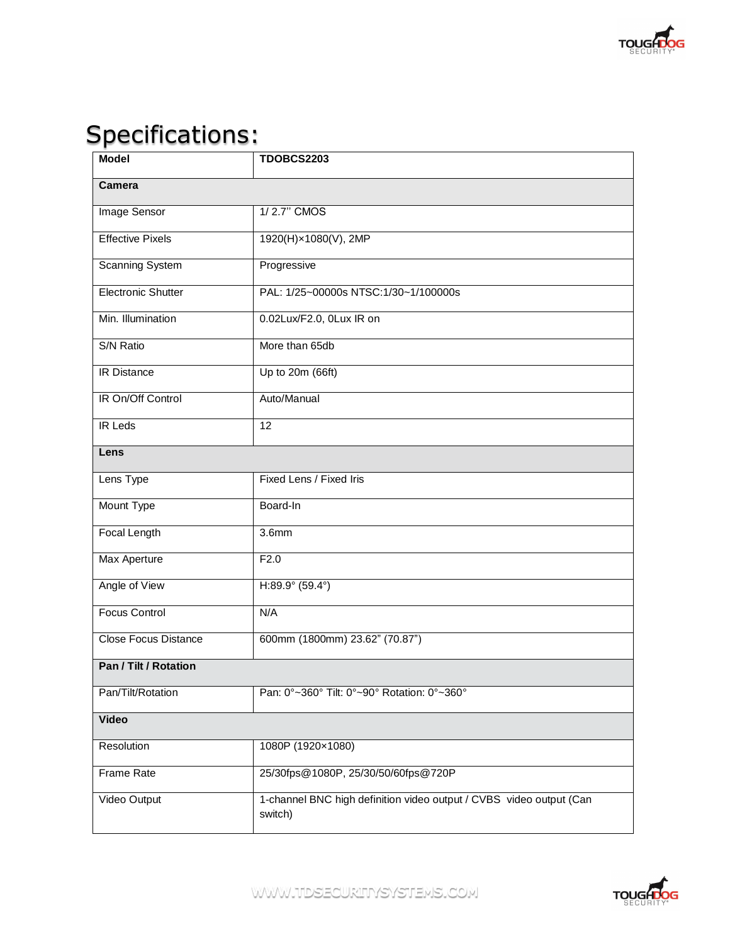

# Specifications:

| <b>Model</b>                | <b>TDOBCS2203</b>                                                              |  |
|-----------------------------|--------------------------------------------------------------------------------|--|
| <b>Camera</b>               |                                                                                |  |
| Image Sensor                | 1/2.7" CMOS                                                                    |  |
| <b>Effective Pixels</b>     | 1920(H)×1080(V), 2MP                                                           |  |
| <b>Scanning System</b>      | Progressive                                                                    |  |
| <b>Electronic Shutter</b>   | PAL: 1/25~00000s NTSC:1/30~1/100000s                                           |  |
| Min. Illumination           | 0.02Lux/F2.0, 0Lux IR on                                                       |  |
| S/N Ratio                   | More than 65db                                                                 |  |
| <b>IR Distance</b>          | Up to 20m (66ft)                                                               |  |
| IR On/Off Control           | Auto/Manual                                                                    |  |
| <b>IR Leds</b>              | $\overline{12}$                                                                |  |
| Lens                        |                                                                                |  |
| Lens Type                   | Fixed Lens / Fixed Iris                                                        |  |
| Mount Type                  | Board-In                                                                       |  |
| <b>Focal Length</b>         | 3.6mm                                                                          |  |
| Max Aperture                | F2.0                                                                           |  |
| Angle of View               | $H:89.9^{\circ}$ (59.4°)                                                       |  |
| <b>Focus Control</b>        | N/A                                                                            |  |
| <b>Close Focus Distance</b> | 600mm (1800mm) 23.62" (70.87")                                                 |  |
| Pan / Tilt / Rotation       |                                                                                |  |
| Pan/Tilt/Rotation           | Pan: 0°~360° Tilt: 0°~90° Rotation: 0°~360°                                    |  |
| <b>Video</b>                |                                                                                |  |
| Resolution                  | 1080P (1920×1080)                                                              |  |
| <b>Frame Rate</b>           | 25/30fps@1080P, 25/30/50/60fps@720P                                            |  |
| Video Output                | 1-channel BNC high definition video output / CVBS video output (Can<br>switch) |  |



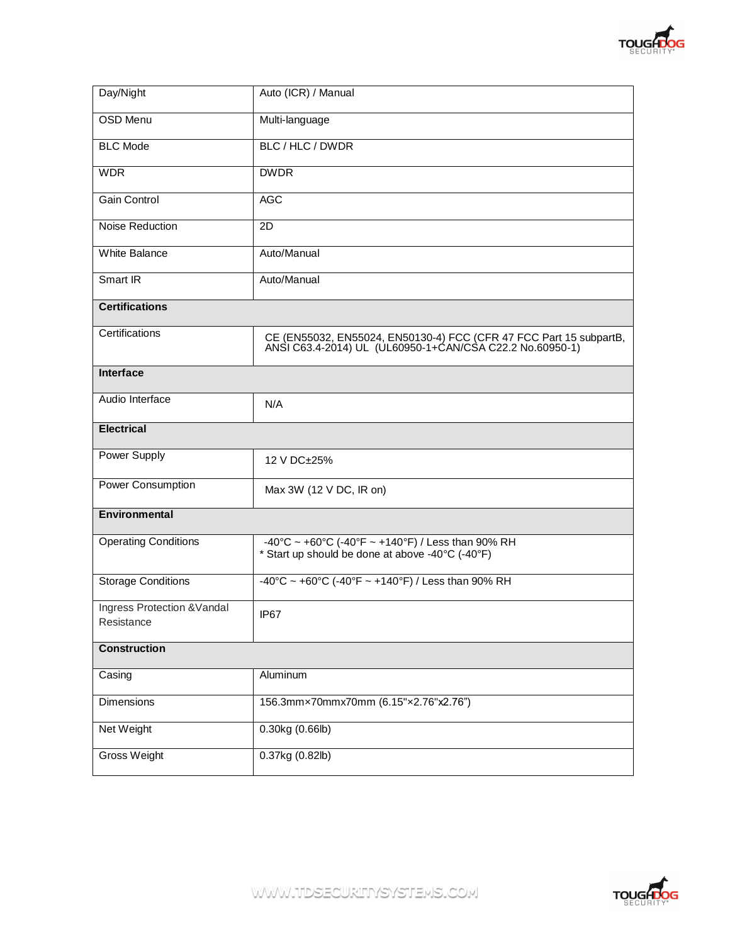

| Day/Night                                 | Auto (ICR) / Manual                                                                                                            |
|-------------------------------------------|--------------------------------------------------------------------------------------------------------------------------------|
| <b>OSD Menu</b>                           | Multi-language                                                                                                                 |
| <b>BLC Mode</b>                           | BLC / HLC / DWDR                                                                                                               |
| <b>WDR</b>                                | <b>DWDR</b>                                                                                                                    |
| Gain Control                              | <b>AGC</b>                                                                                                                     |
| Noise Reduction                           | 2D                                                                                                                             |
| <b>White Balance</b>                      | Auto/Manual                                                                                                                    |
| Smart IR                                  | Auto/Manual                                                                                                                    |
| <b>Certifications</b>                     |                                                                                                                                |
| Certifications                            | CE (EN55032, EN55024, EN50130-4) FCC (CFR 47 FCC Part 15 subpartB,<br>ANSI C63.4-2014) UL (UL60950-1+CAN/CSA C22.2 No.60950-1) |
| <b>Interface</b>                          |                                                                                                                                |
| Audio Interface                           | N/A                                                                                                                            |
| <b>Electrical</b>                         |                                                                                                                                |
| Power Supply                              | 12 V DC±25%                                                                                                                    |
| Power Consumption                         | Max 3W (12 V DC, IR on)                                                                                                        |
| Environmental                             |                                                                                                                                |
| <b>Operating Conditions</b>               | -40°C ~ +60°C (-40°F ~ +140°F) / Less than 90% RH<br>* Start up should be done at above -40°C (-40°F)                          |
| <b>Storage Conditions</b>                 | -40°C ~ +60°C (-40°F ~ +140°F) / Less than 90% RH                                                                              |
| Ingress Protection & Vandal<br>Resistance | IP67                                                                                                                           |
| <b>Construction</b>                       |                                                                                                                                |
| Casing                                    | Aluminum                                                                                                                       |
| Dimensions                                | 156.3mm×70mmx70mm (6.15"×2.76"x2.76")                                                                                          |
| Net Weight                                | $0.30$ kg $(0.66$ lb)                                                                                                          |
| Gross Weight                              | 0.37kg (0.82lb)                                                                                                                |

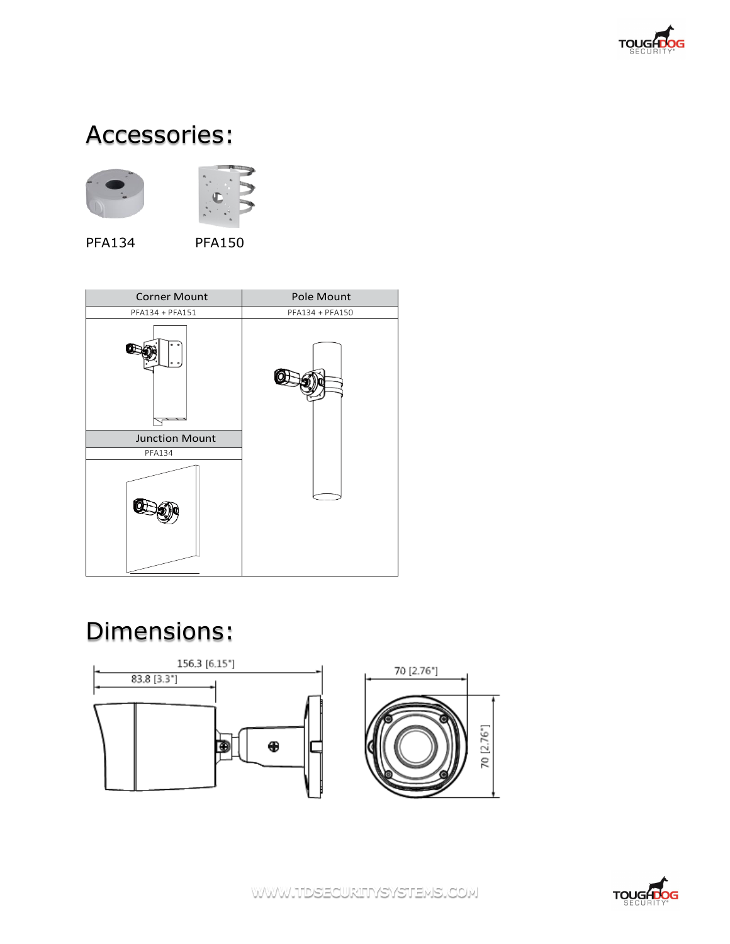

### Accessories:



PFA134 PFA150



## Dimensions:





WWW.TIDSECURITYSYSTEMS.COM